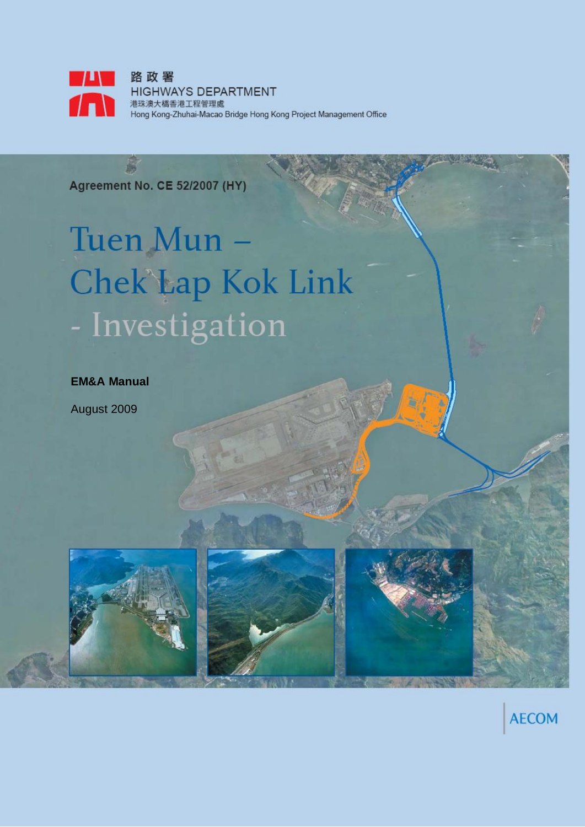

**Agreement No. CE 52/2007 (HY)** 

岛

# Tuen Mun -**Chek'Lap Kok Link** - Investigation

**EM&A Manual**

August 2009



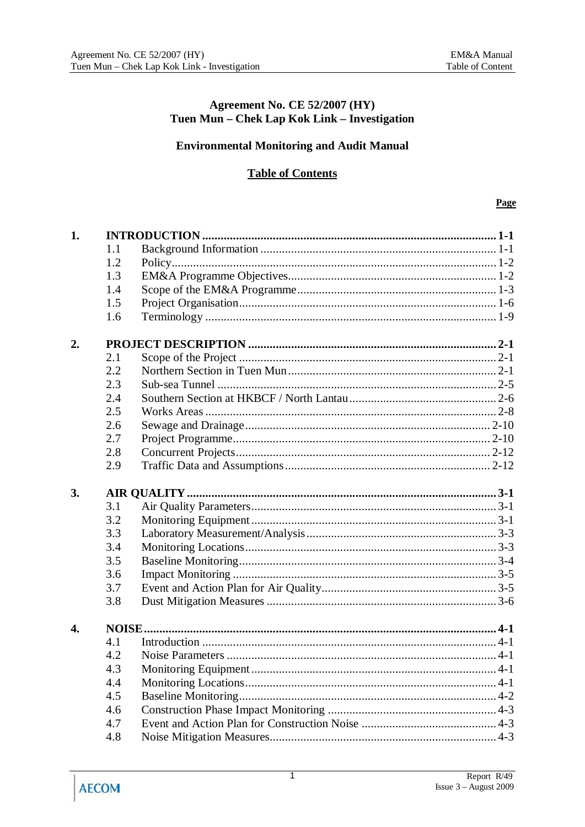#### Agreement No. CE 52/2007 (HY) Tuen Mun - Chek Lap Kok Link - Investigation

#### **Environmental Monitoring and Audit Manual**

### **Table of Contents**

#### Page

| 1. |            |  |  |
|----|------------|--|--|
|    | 1.1        |  |  |
|    | 1.2        |  |  |
|    | 1.3        |  |  |
|    | 1.4        |  |  |
|    | 1.5        |  |  |
|    | 1.6        |  |  |
| 2. |            |  |  |
|    | 2.1        |  |  |
|    | 2.2        |  |  |
|    | 2.3        |  |  |
|    | 2.4        |  |  |
|    | 2.5        |  |  |
|    | 2.6        |  |  |
|    | 2.7        |  |  |
|    | 2.8        |  |  |
|    | 2.9        |  |  |
| 3. |            |  |  |
|    | 3.1        |  |  |
|    | 3.2        |  |  |
|    | 3.3        |  |  |
|    |            |  |  |
|    | 3.4        |  |  |
|    | 3.5        |  |  |
|    |            |  |  |
|    | 3.6<br>3.7 |  |  |
|    | 3.8        |  |  |
|    |            |  |  |
| 4. |            |  |  |
|    | 4.1        |  |  |
|    | 4.2        |  |  |
|    | 4.3        |  |  |
|    | 4.4        |  |  |
|    | 4.5        |  |  |
|    | 4.6<br>4.7 |  |  |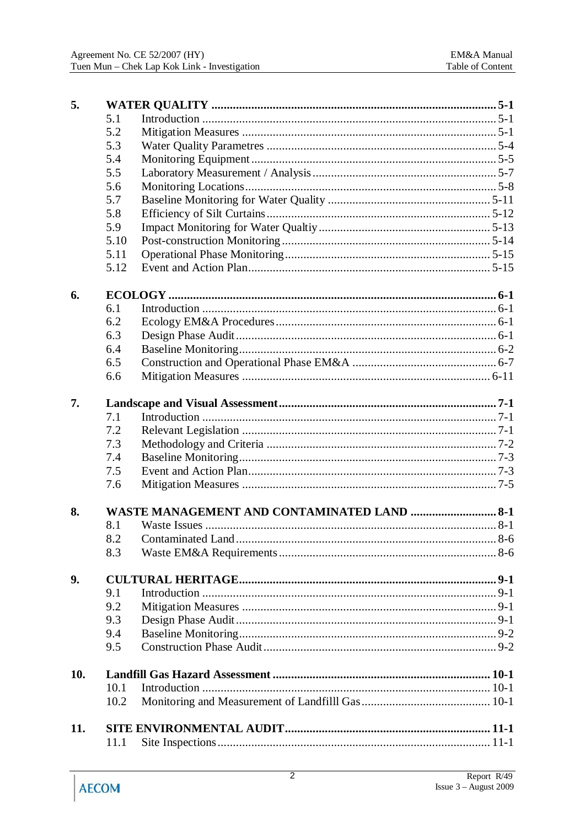| 5.  |      |                                                    |  |  |
|-----|------|----------------------------------------------------|--|--|
|     | 5.1  |                                                    |  |  |
|     | 5.2  |                                                    |  |  |
|     | 5.3  |                                                    |  |  |
|     | 5.4  |                                                    |  |  |
|     | 5.5  |                                                    |  |  |
|     | 5.6  |                                                    |  |  |
|     | 5.7  |                                                    |  |  |
|     | 5.8  |                                                    |  |  |
|     | 5.9  |                                                    |  |  |
|     | 5.10 |                                                    |  |  |
|     | 5.11 |                                                    |  |  |
|     | 5.12 |                                                    |  |  |
| 6.  |      |                                                    |  |  |
|     | 6.1  |                                                    |  |  |
|     | 6.2  |                                                    |  |  |
|     | 6.3  |                                                    |  |  |
|     | 6.4  |                                                    |  |  |
|     | 6.5  |                                                    |  |  |
|     | 6.6  |                                                    |  |  |
| 7.  |      |                                                    |  |  |
|     | 7.1  |                                                    |  |  |
|     | 7.2  |                                                    |  |  |
|     | 7.3  |                                                    |  |  |
|     | 7.4  |                                                    |  |  |
|     | 7.5  |                                                    |  |  |
|     | 7.6  |                                                    |  |  |
| 8.  |      | <b>WASTE MANAGEMENT AND CONTAMINATED LAND  8-1</b> |  |  |
|     | 8.1  |                                                    |  |  |
|     | 8.2  |                                                    |  |  |
|     | 8.3  |                                                    |  |  |
| 9.  |      |                                                    |  |  |
|     | 9.1  |                                                    |  |  |
|     | 9.2  |                                                    |  |  |
|     | 9.3  |                                                    |  |  |
|     | 9.4  |                                                    |  |  |
|     | 9.5  |                                                    |  |  |
| 10. |      |                                                    |  |  |
|     | 10.1 |                                                    |  |  |
|     | 10.2 |                                                    |  |  |
| 11. |      |                                                    |  |  |
|     | 11.1 |                                                    |  |  |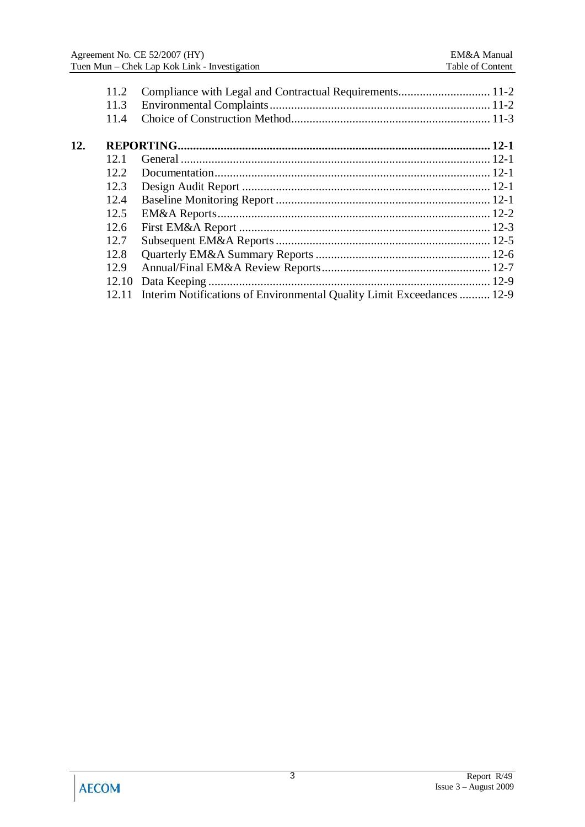|     | 11.2  |                                                                        |  |
|-----|-------|------------------------------------------------------------------------|--|
|     | 11.3  |                                                                        |  |
|     | 11.4  |                                                                        |  |
| 12. |       |                                                                        |  |
|     | 12.1  |                                                                        |  |
|     | 12.2. |                                                                        |  |
|     | 12.3  |                                                                        |  |
|     | 12.4  |                                                                        |  |
|     | 12.5  |                                                                        |  |
|     | 12.6  |                                                                        |  |
|     | 12.7  |                                                                        |  |
|     | 12.8  |                                                                        |  |
|     | 12.9  |                                                                        |  |
|     | 12.10 |                                                                        |  |
|     |       | Interim Notifications of Environmental Quality Limit Exceedances  12-9 |  |
|     |       |                                                                        |  |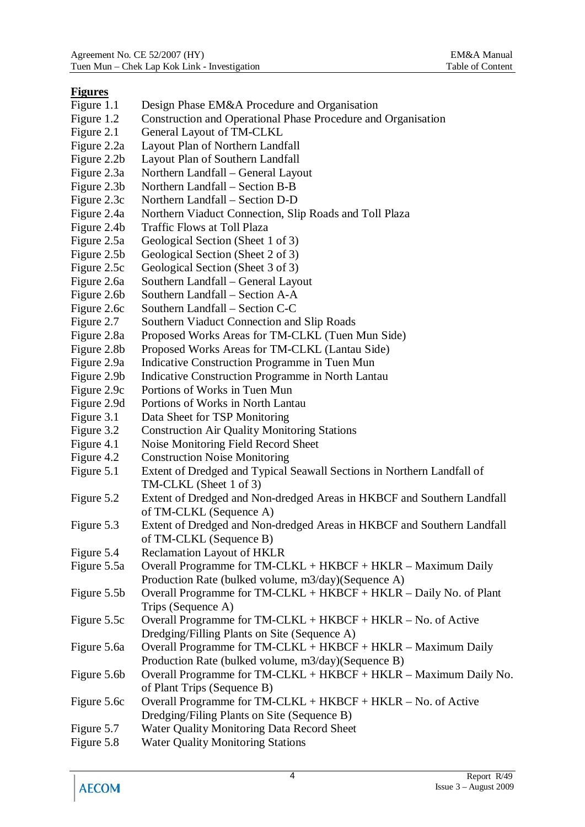#### **Figures**

- Figure 1.1 Design Phase EM&A Procedure and Organisation
- Figure 1.2 Construction and Operational Phase Procedure and Organisation
- Figure 2.1 General Layout of TM-CLKL
- Figure 2.2a Layout Plan of Northern Landfall
- Figure 2.2b Layout Plan of Southern Landfall
- Figure 2.3a Northern Landfall General Layout
- Figure 2.3b Northern Landfall Section B-B
- Figure 2.3c Northern Landfall Section D-D
- Figure 2.4a Northern Viaduct Connection, Slip Roads and Toll Plaza
- Figure 2.4b Traffic Flows at Toll Plaza
- Figure 2.5a Geological Section (Sheet 1 of 3)
- Figure 2.5b Geological Section (Sheet 2 of 3)
- Figure 2.5c Geological Section (Sheet 3 of 3)
- Figure 2.6a Southern Landfall General Layout
- Figure 2.6b Southern Landfall Section A-A
- Figure 2.6c Southern Landfall Section C-C
- Figure 2.7 Southern Viaduct Connection and Slip Roads
- Figure 2.8a Proposed Works Areas for TM-CLKL (Tuen Mun Side)
- Figure 2.8b Proposed Works Areas for TM-CLKL (Lantau Side)
- Figure 2.9a Indicative Construction Programme in Tuen Mun
- Figure 2.9b Indicative Construction Programme in North Lantau
- Figure 2.9c Portions of Works in Tuen Mun
- Figure 2.9d Portions of Works in North Lantau
- Figure 3.1 Data Sheet for TSP Monitoring
- Figure 3.2 Construction Air Quality Monitoring Stations
- Figure 4.1 Noise Monitoring Field Record Sheet
- Figure 4.2 Construction Noise Monitoring
- Figure 5.1 Extent of Dredged and Typical Seawall Sections in Northern Landfall of TM-CLKL (Sheet 1 of 3)
- Figure 5.2 Extent of Dredged and Non-dredged Areas in HKBCF and Southern Landfall of TM-CLKL (Sequence A)
- Figure 5.3 Extent of Dredged and Non-dredged Areas in HKBCF and Southern Landfall of TM-CLKL (Sequence B)
- Figure 5.4 Reclamation Layout of HKLR
- Figure 5.5a Overall Programme for TM-CLKL + HKBCF + HKLR Maximum Daily Production Rate (bulked volume, m3/day)(Sequence A)
- Figure 5.5b Overall Programme for TM-CLKL + HKBCF + HKLR Daily No. of Plant Trips (Sequence A)
- Figure 5.5c Overall Programme for TM-CLKL + HKBCF + HKLR No. of Active Dredging/Filling Plants on Site (Sequence A)
- Figure 5.6a Overall Programme for TM-CLKL + HKBCF + HKLR Maximum Daily Production Rate (bulked volume, m3/day)(Sequence B)
- Figure 5.6b Overall Programme for TM-CLKL + HKBCF + HKLR Maximum Daily No. of Plant Trips (Sequence B)
- Figure 5.6c Overall Programme for TM-CLKL + HKBCF + HKLR No. of Active Dredging/Filing Plants on Site (Sequence B)
- Figure 5.7 Water Quality Monitoring Data Record Sheet
- Figure 5.8 Water Quality Monitoring Stations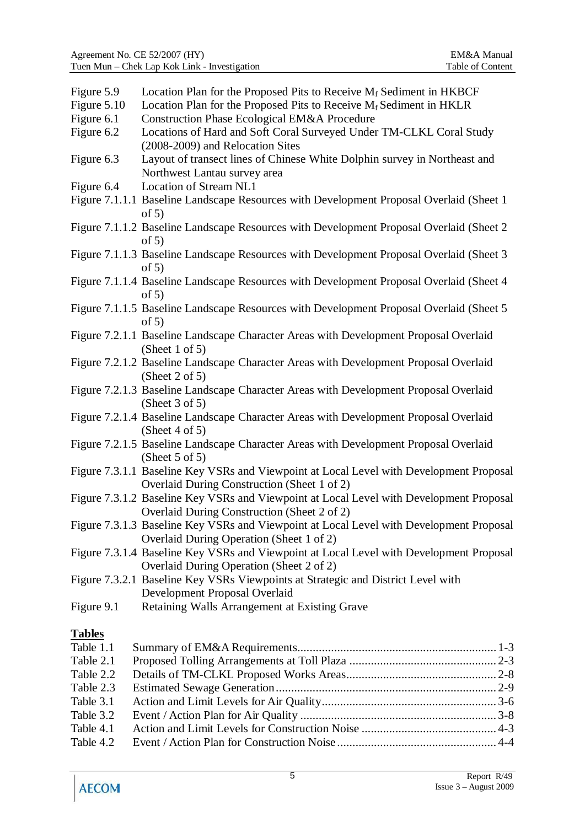| Figure 5.9    | Location Plan for the Proposed Pits to Receive $M_f$ Sediment in HKBCF                                                                 |
|---------------|----------------------------------------------------------------------------------------------------------------------------------------|
| Figure 5.10   | Location Plan for the Proposed Pits to Receive $M_f$ Sediment in HKLR                                                                  |
| Figure 6.1    | Construction Phase Ecological EM&A Procedure                                                                                           |
| Figure 6.2    | Locations of Hard and Soft Coral Surveyed Under TM-CLKL Coral Study                                                                    |
|               | (2008-2009) and Relocation Sites                                                                                                       |
| Figure 6.3    | Layout of transect lines of Chinese White Dolphin survey in Northeast and                                                              |
|               | Northwest Lantau survey area                                                                                                           |
| Figure 6.4    | Location of Stream NL1                                                                                                                 |
|               | Figure 7.1.1.1 Baseline Landscape Resources with Development Proposal Overlaid (Sheet 1<br>of $5)$                                     |
|               | Figure 7.1.1.2 Baseline Landscape Resources with Development Proposal Overlaid (Sheet 2)<br>of $5)$                                    |
|               | Figure 7.1.1.3 Baseline Landscape Resources with Development Proposal Overlaid (Sheet 3<br>of $5)$                                     |
|               | Figure 7.1.1.4 Baseline Landscape Resources with Development Proposal Overlaid (Sheet 4<br>of $5)$                                     |
|               | Figure 7.1.1.5 Baseline Landscape Resources with Development Proposal Overlaid (Sheet 5<br>of $5)$                                     |
|               | Figure 7.2.1.1 Baseline Landscape Character Areas with Development Proposal Overlaid<br>(Sheet 1 of 5)                                 |
|               | Figure 7.2.1.2 Baseline Landscape Character Areas with Development Proposal Overlaid<br>(Sheet 2 of 5)                                 |
|               | Figure 7.2.1.3 Baseline Landscape Character Areas with Development Proposal Overlaid<br>(Sheet $3$ of $5$ )                            |
|               | Figure 7.2.1.4 Baseline Landscape Character Areas with Development Proposal Overlaid<br>(Sheet 4 of 5)                                 |
|               | Figure 7.2.1.5 Baseline Landscape Character Areas with Development Proposal Overlaid<br>(Sheet $5$ of $5$ )                            |
|               | Figure 7.3.1.1 Baseline Key VSRs and Viewpoint at Local Level with Development Proposal                                                |
|               | Overlaid During Construction (Sheet 1 of 2)                                                                                            |
|               | Figure 7.3.1.2 Baseline Key VSRs and Viewpoint at Local Level with Development Proposal<br>Overlaid During Construction (Sheet 2 of 2) |
|               | Figure 7.3.1.3 Baseline Key VSRs and Viewpoint at Local Level with Development Proposal<br>Overlaid During Operation (Sheet 1 of 2)    |
|               | Figure 7.3.1.4 Baseline Key VSRs and Viewpoint at Local Level with Development Proposal<br>Overlaid During Operation (Sheet 2 of 2)    |
|               | Figure 7.3.2.1 Baseline Key VSRs Viewpoints at Strategic and District Level with                                                       |
|               | Development Proposal Overlaid                                                                                                          |
| Figure 9.1    | Retaining Walls Arrangement at Existing Grave                                                                                          |
| <b>Tables</b> |                                                                                                                                        |
| Table 1.1     |                                                                                                                                        |
| Table 2.1     |                                                                                                                                        |
| Table 2.2     |                                                                                                                                        |
| Table 2.3     |                                                                                                                                        |
| Table 3.1     |                                                                                                                                        |
| Table 3.2     |                                                                                                                                        |
| Table 4.1     |                                                                                                                                        |

Table 4.2 Event / Action Plan for Construction Noise .................................................... 4-4